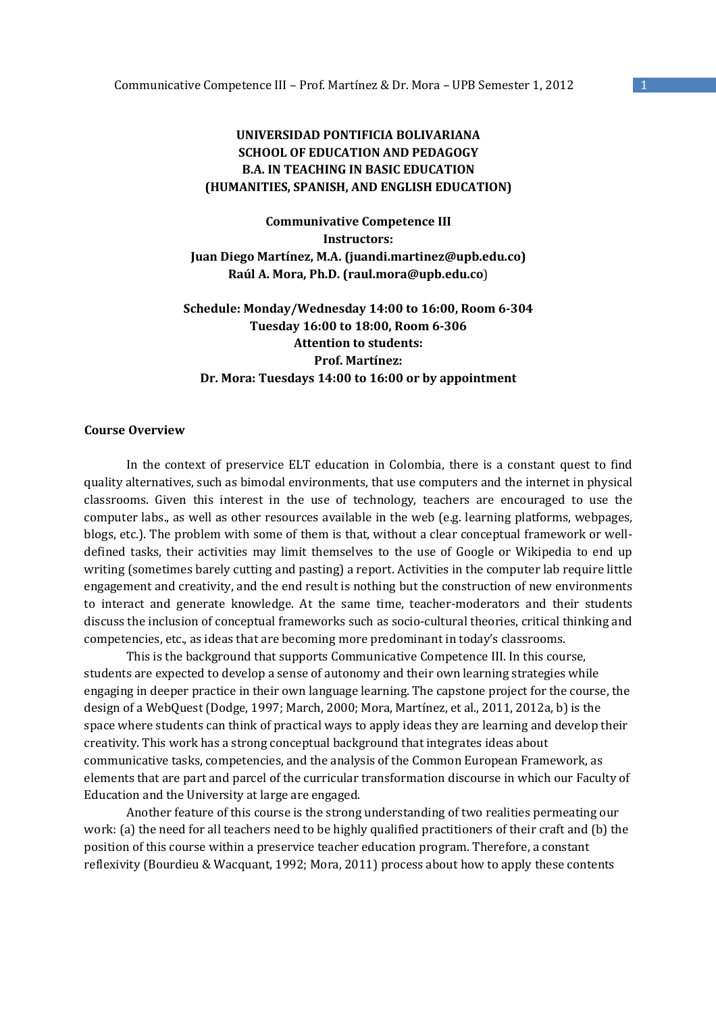# **UNIVERSIDAD PONTIFICIA BOLIVARIANA SCHOOL OF EDUCATION AND PEDAGOGY B.A. IN TEACHING IN BASIC EDUCATION (HUMANITIES, SPANISH, AND ENGLISH EDUCATION)**

**Communivative Competence III Instructors: Juan Diego Martínez, M.A. (juandi.martinez@upb.edu.co) Raúl A. Mora, Ph.D. (raul.mora@upb.edu.co**)

**Schedule: Monday/Wednesday 14:00 to 16:00, Room 6-304 Tuesday 16:00 to 18:00, Room 6-306 Attention to students: Prof. Martínez: Dr. Mora: Tuesdays 14:00 to 16:00 or by appointment**

# **Course Overview**

In the context of preservice ELT education in Colombia, there is a constant quest to find quality alternatives, such as bimodal environments, that use computers and the internet in physical classrooms. Given this interest in the use of technology, teachers are encouraged to use the computer labs., as well as other resources available in the web (e.g. learning platforms, webpages, blogs, etc.). The problem with some of them is that, without a clear conceptual framework or welldefined tasks, their activities may limit themselves to the use of Google or Wikipedia to end up writing (sometimes barely cutting and pasting) a report. Activities in the computer lab require little engagement and creativity, and the end result is nothing but the construction of new environments to interact and generate knowledge. At the same time, teacher-moderators and their students discuss the inclusion of conceptual frameworks such as socio-cultural theories, critical thinking and competencies, etc., as ideas that are becoming more predominant in today's classrooms.

This is the background that supports Communicative Competence III. In this course, students are expected to develop a sense of autonomy and their own learning strategies while engaging in deeper practice in their own language learning. The capstone project for the course, the design of a WebQuest (Dodge, 1997; March, 2000; Mora, Martínez, et al., 2011, 2012a, b) is the space where students can think of practical ways to apply ideas they are learning and develop their creativity. This work has a strong conceptual background that integrates ideas about communicative tasks, competencies, and the analysis of the Common European Framework, as elements that are part and parcel of the curricular transformation discourse in which our Faculty of Education and the University at large are engaged.

 Another feature of this course is the strong understanding of two realities permeating our work: (a) the need for all teachers need to be highly qualified practitioners of their craft and (b) the position of this course within a preservice teacher education program. Therefore, a constant reflexivity (Bourdieu & Wacquant, 1992; Mora, 2011) process about how to apply these contents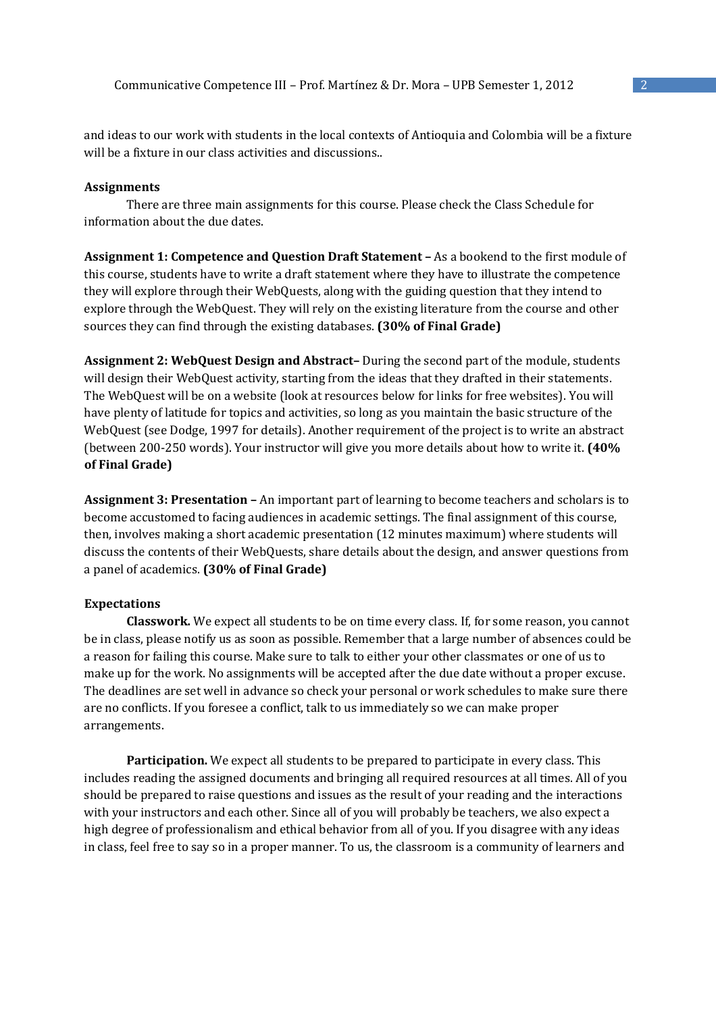and ideas to our work with students in the local contexts of Antioquia and Colombia will be a fixture will be a fixture in our class activities and discussions..

## **Assignments**

 There are three main assignments for this course. Please check the Class Schedule for information about the due dates.

**Assignment 1: Competence and Question Draft Statement –** As a bookend to the first module of this course, students have to write a draft statement where they have to illustrate the competence they will explore through their WebQuests, along with the guiding question that they intend to explore through the WebQuest. They will rely on the existing literature from the course and other sources they can find through the existing databases. **(30% of Final Grade)** 

**Assignment 2: WebQuest Design and Abstract–** During the second part of the module, students will design their WebQuest activity, starting from the ideas that they drafted in their statements. The WebQuest will be on a website (look at resources below for links for free websites). You will have plenty of latitude for topics and activities, so long as you maintain the basic structure of the WebQuest (see Dodge, 1997 for details). Another requirement of the project is to write an abstract (between 200-250 words). Your instructor will give you more details about how to write it. **(40% of Final Grade)** 

**Assignment 3: Presentation –** An important part of learning to become teachers and scholars is to become accustomed to facing audiences in academic settings. The final assignment of this course, then, involves making a short academic presentation (12 minutes maximum) where students will discuss the contents of their WebQuests, share details about the design, and answer questions from a panel of academics. **(30% of Final Grade)** 

## **Expectations**

**Classwork.** We expect all students to be on time every class. If, for some reason, you cannot be in class, please notify us as soon as possible. Remember that a large number of absences could be a reason for failing this course. Make sure to talk to either your other classmates or one of us to make up for the work. No assignments will be accepted after the due date without a proper excuse. The deadlines are set well in advance so check your personal or work schedules to make sure there are no conflicts. If you foresee a conflict, talk to us immediately so we can make proper arrangements.

**Participation.** We expect all students to be prepared to participate in every class. This includes reading the assigned documents and bringing all required resources at all times. All of you should be prepared to raise questions and issues as the result of your reading and the interactions with your instructors and each other. Since all of you will probably be teachers, we also expect a high degree of professionalism and ethical behavior from all of you. If you disagree with any ideas in class, feel free to say so in a proper manner. To us, the classroom is a community of learners and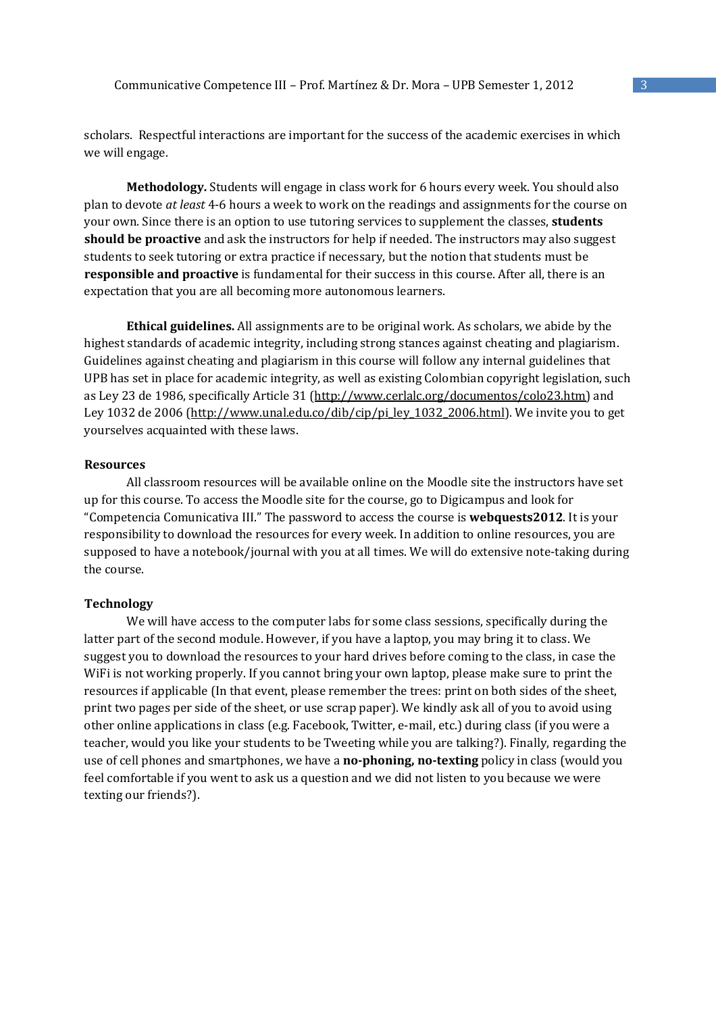scholars. Respectful interactions are important for the success of the academic exercises in which we will engage.

**Methodology.** Students will engage in class work for 6 hours every week. You should also plan to devote *at least* 4-6 hours a week to work on the readings and assignments for the course on your own. Since there is an option to use tutoring services to supplement the classes, **students should be proactive** and ask the instructors for help if needed. The instructors may also suggest students to seek tutoring or extra practice if necessary, but the notion that students must be **responsible and proactive** is fundamental for their success in this course. After all, there is an expectation that you are all becoming more autonomous learners.

**Ethical guidelines.** All assignments are to be original work. As scholars, we abide by the highest standards of academic integrity, including strong stances against cheating and plagiarism. Guidelines against cheating and plagiarism in this course will follow any internal guidelines that UPB has set in place for academic integrity, as well as existing Colombian copyright legislation, such as Ley 23 de 1986, specifically Article 31 (http://www.cerlalc.org/documentos/colo23.htm) and Ley 1032 de 2006 (http://www.unal.edu.co/dib/cip/pi\_ley\_1032\_2006.html). We invite you to get yourselves acquainted with these laws.

#### **Resources**

 All classroom resources will be available online on the Moodle site the instructors have set up for this course. To access the Moodle site for the course, go to Digicampus and look for "Competencia Comunicativa III." The password to access the course is **webquests2012**. It is your responsibility to download the resources for every week. In addition to online resources, you are supposed to have a notebook/journal with you at all times. We will do extensive note-taking during the course.

### **Technology**

We will have access to the computer labs for some class sessions, specifically during the latter part of the second module. However, if you have a laptop, you may bring it to class. We suggest you to download the resources to your hard drives before coming to the class, in case the WiFi is not working properly. If you cannot bring your own laptop, please make sure to print the resources if applicable (In that event, please remember the trees: print on both sides of the sheet, print two pages per side of the sheet, or use scrap paper). We kindly ask all of you to avoid using other online applications in class (e.g. Facebook, Twitter, e-mail, etc.) during class (if you were a teacher, would you like your students to be Tweeting while you are talking?). Finally, regarding the use of cell phones and smartphones, we have a **no-phoning, no-texting** policy in class (would you feel comfortable if you went to ask us a question and we did not listen to you because we were texting our friends?).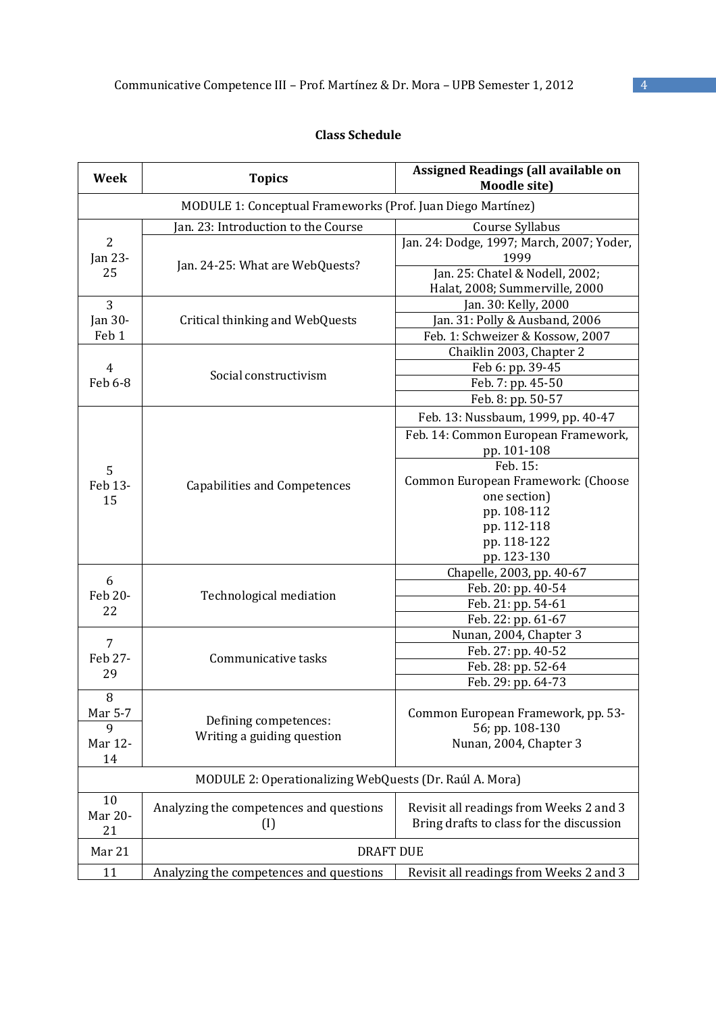# **Class Schedule**

| Week                                                        | <b>Topics</b>                                            | <b>Assigned Readings (all available on</b><br><b>Moodle site)</b> |  |
|-------------------------------------------------------------|----------------------------------------------------------|-------------------------------------------------------------------|--|
| MODULE 1: Conceptual Frameworks (Prof. Juan Diego Martínez) |                                                          |                                                                   |  |
|                                                             | [an. 23: Introduction to the Course                      | Course Syllabus                                                   |  |
| $\overline{2}$<br>Jan 23-<br>25                             | Jan. 24-25: What are WebQuests?                          | Jan. 24: Dodge, 1997; March, 2007; Yoder,<br>1999                 |  |
|                                                             |                                                          | Jan. 25: Chatel & Nodell, 2002;                                   |  |
|                                                             |                                                          | Halat, 2008; Summerville, 2000                                    |  |
| 3<br>Jan 30-<br>Feb 1<br>$\overline{4}$<br>Feb 6-8          | Critical thinking and WebQuests<br>Social constructivism | Jan. 30: Kelly, 2000                                              |  |
|                                                             |                                                          | Jan. 31: Polly & Ausband, 2006                                    |  |
|                                                             |                                                          | Feb. 1: Schweizer & Kossow, 2007                                  |  |
|                                                             |                                                          | Chaiklin 2003, Chapter 2                                          |  |
|                                                             |                                                          | Feb 6: pp. 39-45                                                  |  |
|                                                             |                                                          | Feb. 7: pp. 45-50                                                 |  |
|                                                             |                                                          | Feb. 8: pp. 50-57                                                 |  |
|                                                             |                                                          | Feb. 13: Nussbaum, 1999, pp. 40-47                                |  |
|                                                             |                                                          | Feb. 14: Common European Framework,                               |  |
|                                                             |                                                          | pp. 101-108                                                       |  |
| 5                                                           |                                                          | Feb. 15:                                                          |  |
| Feb 13-                                                     | <b>Capabilities and Competences</b>                      | Common European Framework: (Choose                                |  |
| 15                                                          |                                                          | one section)                                                      |  |
|                                                             |                                                          | pp. 108-112                                                       |  |
|                                                             |                                                          | pp. 112-118                                                       |  |
|                                                             |                                                          | pp. 118-122                                                       |  |
|                                                             |                                                          | pp. 123-130                                                       |  |
| 6                                                           | Technological mediation                                  | Chapelle, 2003, pp. 40-67                                         |  |
| Feb 20-                                                     |                                                          | Feb. 20: pp. 40-54                                                |  |
| 22                                                          |                                                          | Feb. 21: pp. 54-61                                                |  |
|                                                             |                                                          | Feb. 22: pp. 61-67                                                |  |
| $\overline{7}$                                              | Communicative tasks                                      | Nunan, 2004, Chapter 3                                            |  |
| Feb 27-                                                     |                                                          | Feb. 27: pp. 40-52                                                |  |
| 29                                                          |                                                          | Feb. 28: pp. 52-64                                                |  |
|                                                             |                                                          | Feb. 29: pp. 64-73                                                |  |
| 8                                                           |                                                          |                                                                   |  |
| Mar 5-7                                                     | Defining competences:                                    | Common European Framework, pp. 53-                                |  |
| 9                                                           | Writing a guiding question                               | 56; pp. 108-130                                                   |  |
| Mar 12-<br>14                                               |                                                          | Nunan, 2004, Chapter 3                                            |  |
| MODULE 2: Operationalizing WebQuests (Dr. Raúl A. Mora)     |                                                          |                                                                   |  |
| 10                                                          |                                                          |                                                                   |  |
| Mar 20-                                                     | Analyzing the competences and questions                  | Revisit all readings from Weeks 2 and 3                           |  |
| 21                                                          | $\left($ I                                               | Bring drafts to class for the discussion                          |  |
| Mar 21                                                      | <b>DRAFT DUE</b>                                         |                                                                   |  |
| 11                                                          | Analyzing the competences and questions                  | Revisit all readings from Weeks 2 and 3                           |  |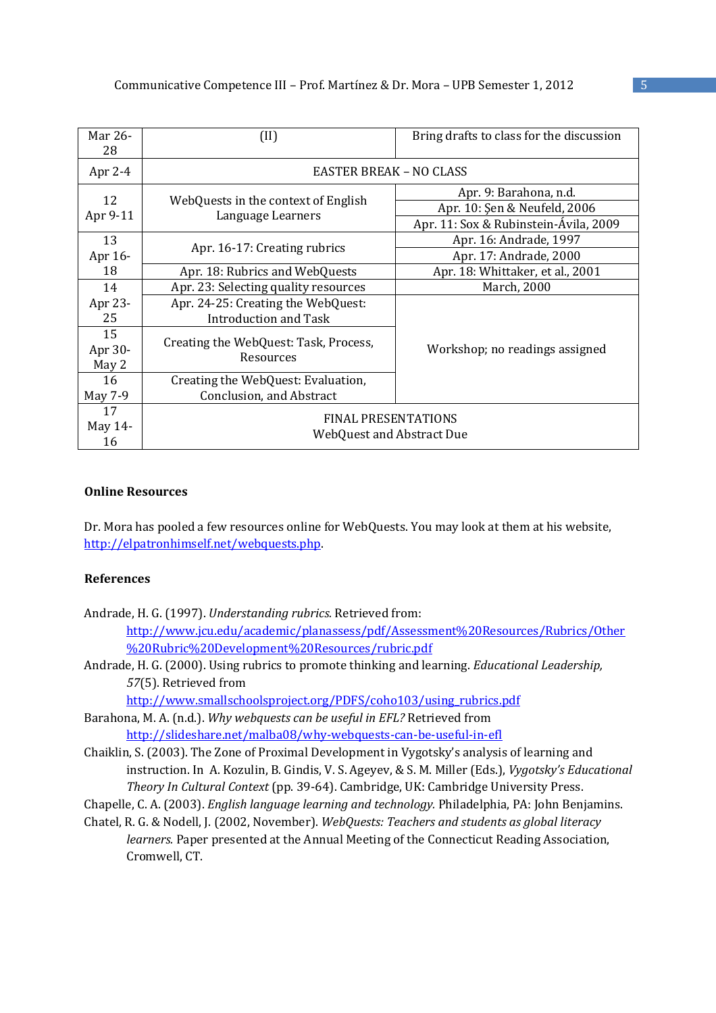| Mar 26-<br>28 | (II)                                                     | Bring drafts to class for the discussion |
|---------------|----------------------------------------------------------|------------------------------------------|
| Apr 2-4       | <b>EASTER BREAK - NO CLASS</b>                           |                                          |
| 12            |                                                          | Apr. 9: Barahona, n.d.                   |
| Apr 9-11      | WebQuests in the context of English<br>Language Learners | Apr. 10: Şen & Neufeld, 2006             |
|               |                                                          | Apr. 11: Sox & Rubinstein-Ávila, 2009    |
| 13            |                                                          | Apr. 16: Andrade, 1997                   |
| Apr 16-       | Apr. 16-17: Creating rubrics                             | Apr. 17: Andrade, 2000                   |
| 18            | Apr. 18: Rubrics and WebQuests                           | Apr. 18: Whittaker, et al., 2001         |
| 14            | Apr. 23: Selecting quality resources                     | March, 2000                              |
| Apr 23-       | Apr. 24-25: Creating the WebQuest:                       |                                          |
| 25            | <b>Introduction and Task</b>                             |                                          |
| 15            | Creating the WebQuest: Task, Process,                    |                                          |
| Apr 30-       | Resources                                                | Workshop; no readings assigned           |
| May 2         |                                                          |                                          |
| 16            | Creating the WebQuest: Evaluation,                       |                                          |
| May 7-9       | Conclusion, and Abstract                                 |                                          |
| 17            | <b>FINAL PRESENTATIONS</b><br>WebQuest and Abstract Due  |                                          |
| May 14-       |                                                          |                                          |
| 16            |                                                          |                                          |

# **Online Resources**

Dr. Mora has pooled a few resources online for WebQuests. You may look at them at his website, http://elpatronhimself.net/webquests.php.

# **References**

- Andrade, H. G. (1997). *Understanding rubrics.* Retrieved from: http://www.jcu.edu/academic/planassess/pdf/Assessment%20Resources/Rubrics/Other %20Rubric%20Development%20Resources/rubric.pdf
- Andrade, H. G. (2000). Using rubrics to promote thinking and learning. *Educational Leadership, 57*(5). Retrieved from

http://www.smallschoolsproject.org/PDFS/coho103/using\_rubrics.pdf

Barahona, M. A. (n.d.). *Why webquests can be useful in EFL?* Retrieved from http://slideshare.net/malba08/why-webquests-can-be-useful-in-efl

Chaiklin, S. (2003). The Zone of Proximal Development in Vygotsky's analysis of learning and instruction. In A. Kozulin, B. Gindis, V. S. Ageyev, & S. M. Miller (Eds.), *Vygotsky's Educational Theory In Cultural Context* (pp. 39-64). Cambridge, UK: Cambridge University Press.

Chapelle, C. A. (2003). *English language learning and technology.* Philadelphia, PA: John Benjamins.

Chatel, R. G. & Nodell, J. (2002, November). *WebQuests: Teachers and students as global literacy learners.* Paper presented at the Annual Meeting of the Connecticut Reading Association, Cromwell, CT.